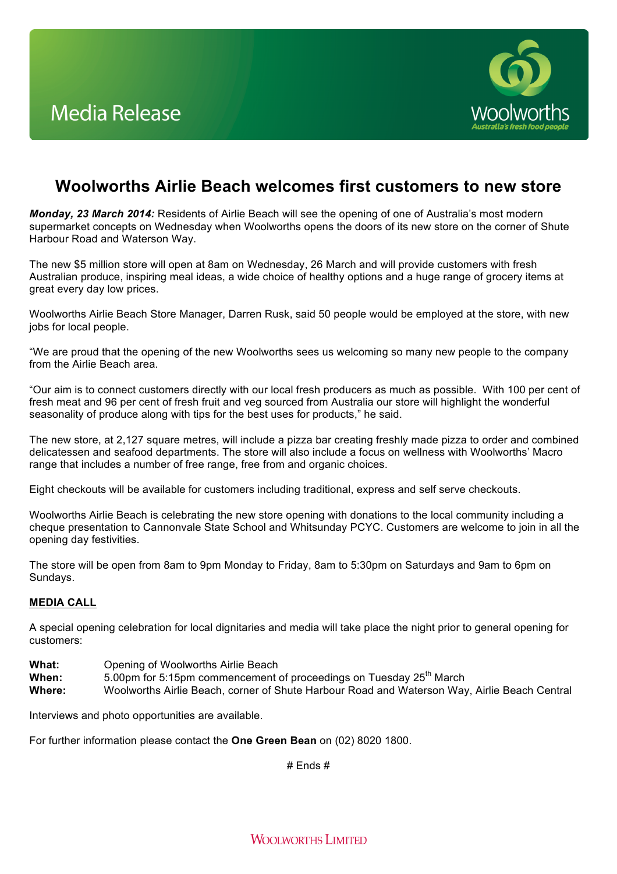

## **Woolworths Airlie Beach welcomes first customers to new store**

*Monday, 23 March 2014:* Residents of Airlie Beach will see the opening of one of Australia's most modern supermarket concepts on Wednesday when Woolworths opens the doors of its new store on the corner of Shute Harbour Road and Waterson Way.

The new \$5 million store will open at 8am on Wednesday, 26 March and will provide customers with fresh Australian produce, inspiring meal ideas, a wide choice of healthy options and a huge range of grocery items at great every day low prices.

Woolworths Airlie Beach Store Manager, Darren Rusk, said 50 people would be employed at the store, with new jobs for local people.

"We are proud that the opening of the new Woolworths sees us welcoming so many new people to the company from the Airlie Beach area.

"Our aim is to connect customers directly with our local fresh producers as much as possible. With 100 per cent of fresh meat and 96 per cent of fresh fruit and veg sourced from Australia our store will highlight the wonderful seasonality of produce along with tips for the best uses for products," he said.

The new store, at 2,127 square metres, will include a pizza bar creating freshly made pizza to order and combined delicatessen and seafood departments. The store will also include a focus on wellness with Woolworths' Macro range that includes a number of free range, free from and organic choices.

Eight checkouts will be available for customers including traditional, express and self serve checkouts.

Woolworths Airlie Beach is celebrating the new store opening with donations to the local community including a cheque presentation to Cannonvale State School and Whitsunday PCYC. Customers are welcome to join in all the opening day festivities.

The store will be open from 8am to 9pm Monday to Friday, 8am to 5:30pm on Saturdays and 9am to 6pm on Sundays.

## **MEDIA CALL**

A special opening celebration for local dignitaries and media will take place the night prior to general opening for customers:

- What: Opening of Woolworths Airlie Beach<br>
When: 5.00pm for 5:15pm commencement
- 5.00pm for 5:15pm commencement of proceedings on Tuesday 25<sup>th</sup> March
- **Where:** Woolworths Airlie Beach, corner of Shute Harbour Road and Waterson Way, Airlie Beach Central

Interviews and photo opportunities are available.

For further information please contact the **One Green Bean** on (02) 8020 1800.

# Ends #

**WOOLWORTHS LIMITED**